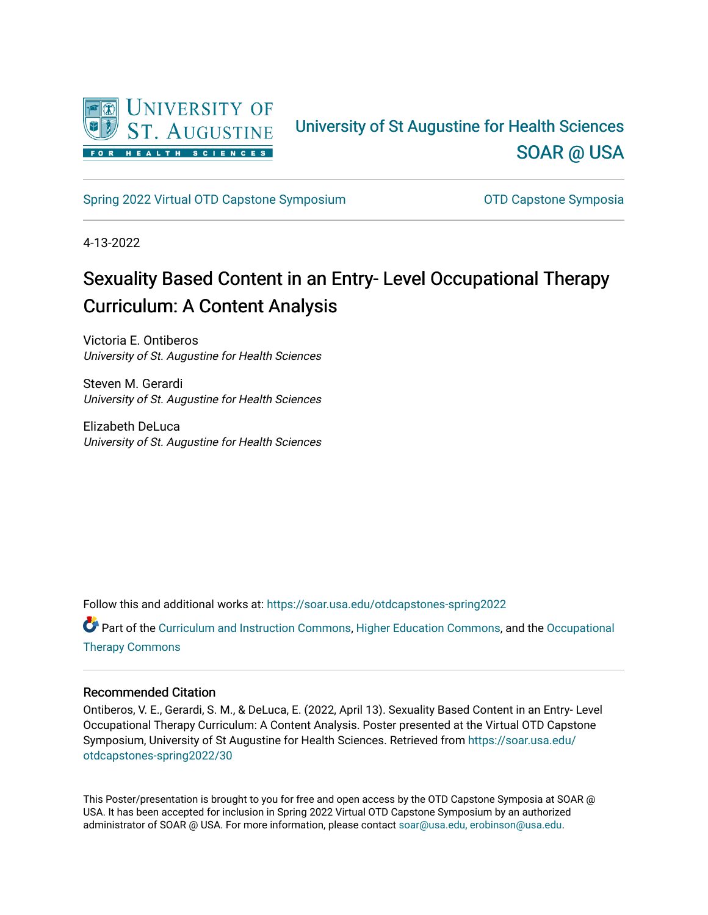

### University of St Augustine for Health Sciences [SOAR @ USA](https://soar.usa.edu/)

[Spring 2022 Virtual OTD Capstone Symposium](https://soar.usa.edu/otdcapstones-spring2022) **Capstone Symposia** OTD Capstone Symposia

4-13-2022

### Sexuality Based Content in an Entry- Level Occupational Therapy Curriculum: A Content Analysis

Victoria E. Ontiberos University of St. Augustine for Health Sciences

Steven M. Gerardi University of St. Augustine for Health Sciences

Elizabeth DeLuca University of St. Augustine for Health Sciences

Follow this and additional works at: [https://soar.usa.edu/otdcapstones-spring2022](https://soar.usa.edu/otdcapstones-spring2022?utm_source=soar.usa.edu%2Fotdcapstones-spring2022%2F30&utm_medium=PDF&utm_campaign=PDFCoverPages)

Part of the [Curriculum and Instruction Commons,](http://network.bepress.com/hgg/discipline/786?utm_source=soar.usa.edu%2Fotdcapstones-spring2022%2F30&utm_medium=PDF&utm_campaign=PDFCoverPages) [Higher Education Commons,](http://network.bepress.com/hgg/discipline/1245?utm_source=soar.usa.edu%2Fotdcapstones-spring2022%2F30&utm_medium=PDF&utm_campaign=PDFCoverPages) and the [Occupational](http://network.bepress.com/hgg/discipline/752?utm_source=soar.usa.edu%2Fotdcapstones-spring2022%2F30&utm_medium=PDF&utm_campaign=PDFCoverPages)  [Therapy Commons](http://network.bepress.com/hgg/discipline/752?utm_source=soar.usa.edu%2Fotdcapstones-spring2022%2F30&utm_medium=PDF&utm_campaign=PDFCoverPages)

### Recommended Citation

Ontiberos, V. E., Gerardi, S. M., & DeLuca, E. (2022, April 13). Sexuality Based Content in an Entry- Level Occupational Therapy Curriculum: A Content Analysis. Poster presented at the Virtual OTD Capstone Symposium, University of St Augustine for Health Sciences. Retrieved from [https://soar.usa.edu/](https://soar.usa.edu/otdcapstones-spring2022/30?utm_source=soar.usa.edu%2Fotdcapstones-spring2022%2F30&utm_medium=PDF&utm_campaign=PDFCoverPages) [otdcapstones-spring2022/30](https://soar.usa.edu/otdcapstones-spring2022/30?utm_source=soar.usa.edu%2Fotdcapstones-spring2022%2F30&utm_medium=PDF&utm_campaign=PDFCoverPages)

This Poster/presentation is brought to you for free and open access by the OTD Capstone Symposia at SOAR @ USA. It has been accepted for inclusion in Spring 2022 Virtual OTD Capstone Symposium by an authorized administrator of SOAR @ USA. For more information, please contact [soar@usa.edu, erobinson@usa.edu](mailto:soar@usa.edu,%20erobinson@usa.edu).